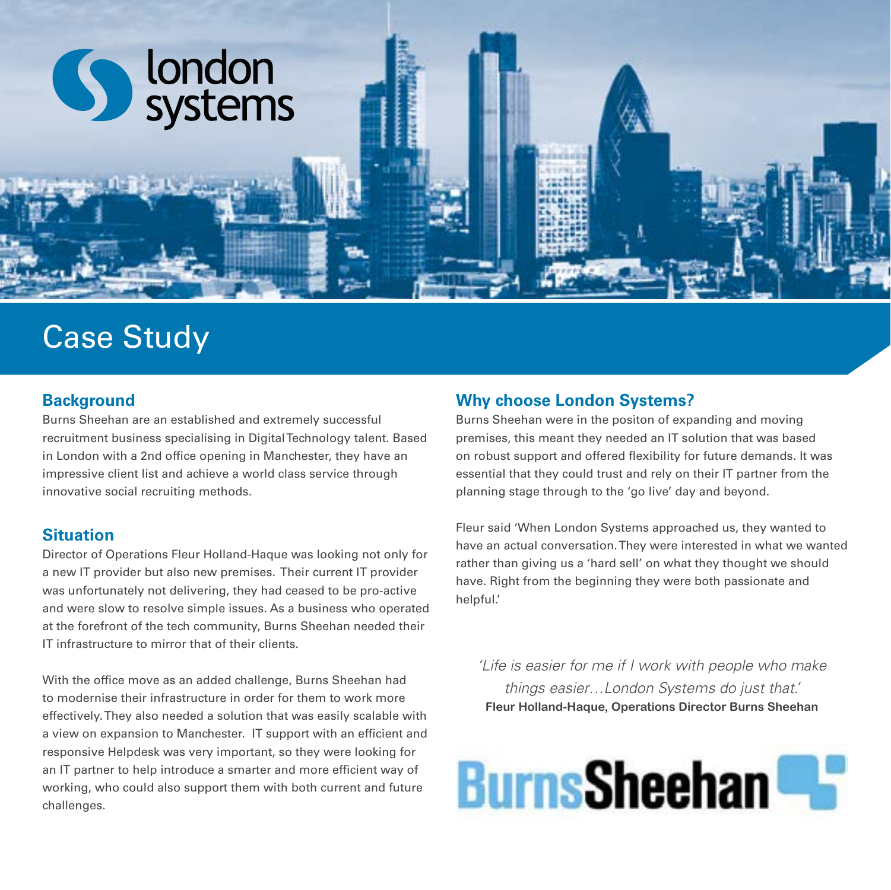

# Case Study

## **Background**

Burns Sheehan are an established and extremely successful recruitment business specialising in Digital Technology talent. Based in London with a 2nd office opening in Manchester, they have an impressive client list and achieve a world class service through innovative social recruiting methods.

## **Situation**

Director of Operations Fleur Holland-Haque was looking not only for a new IT provider but also new premises. Their current IT provider was unfortunately not delivering, they had ceased to be pro-active and were slow to resolve simple issues. As a business who operated at the forefront of the tech community, Burns Sheehan needed their IT infrastructure to mirror that of their clients.

With the office move as an added challenge, Burns Sheehan had to modernise their infrastructure in order for them to work more effectively. They also needed a solution that was easily scalable with a view on expansion to Manchester. IT support with an efficient and responsive Helpdesk was very important, so they were looking for an IT partner to help introduce a smarter and more efficient way of working, who could also support them with both current and future challenges.

## **Why choose London Systems?**

Burns Sheehan were in the positon of expanding and moving premises, this meant they needed an IT solution that was based on robust support and offered flexibility for future demands. It was essential that they could trust and rely on their IT partner from the planning stage through to the 'go live' day and beyond.

Fleur said 'When London Systems approached us, they wanted to have an actual conversation. They were interested in what we wanted rather than giving us a 'hard sell' on what they thought we should have. Right from the beginning they were both passionate and helpful.'

*'Life is easier for me if I work with people who make things easier…London Systems do just that.'*  **Fleur Holland-Haque, Operations Director Burns Sheehan**